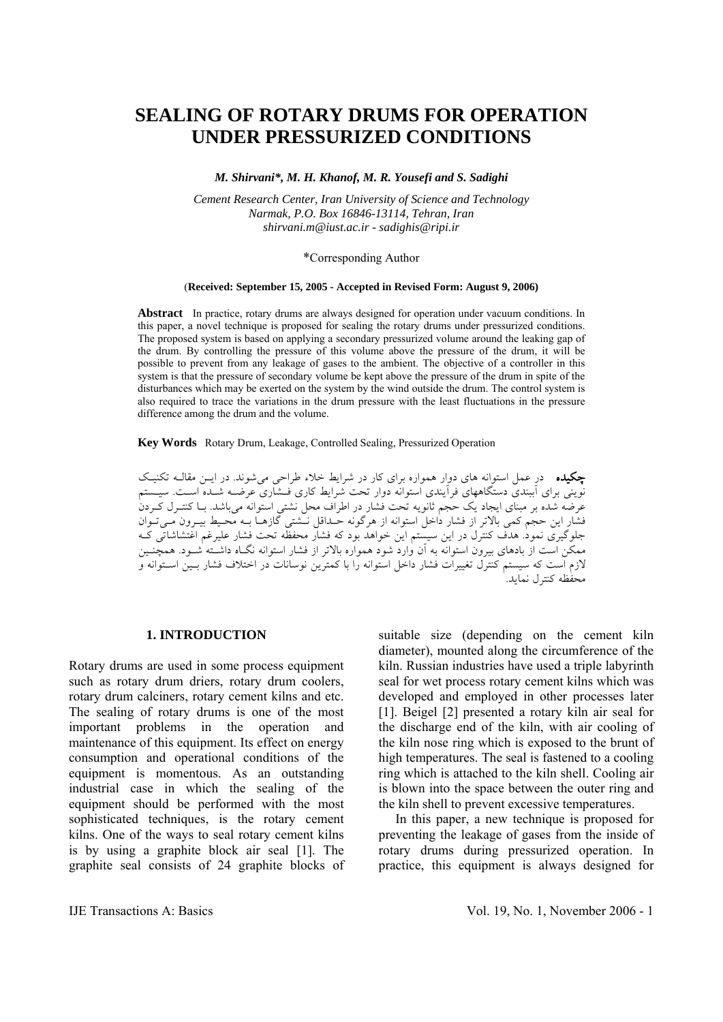# **SEALING OF ROTARY DRUMS FOR OPERATION UNDER PRESSURIZED CONDITIONS**

*M. Shirvani\*, M. H. Khanof, M. R. Yousefi and S. Sadighi* 

*Cement Research Center, Iran University of Science and Technology Narmak, P.O. Box 16846-13114, Tehran, Iran shirvani.m@iust.ac.ir - sadighis@ripi.ir*

### \*Corresponding Author

### (**Received: September 15, 2005 - Accepted in Revised Form: August 9, 2006)**

**Abstract** In practice, rotary drums are always designed for operation under vacuum conditions. In this paper, a novel technique is proposed for sealing the rotary drums under pressurized conditions. The proposed system is based on applying a secondary pressurized volume around the leaking gap of the drum. By controlling the pressure of this volume above the pressure of the drum, it will be possible to prevent from any leakage of gases to the ambient. The objective of a controller in this system is that the pressure of secondary volume be kept above the pressure of the drum in spite of the disturbances which may be exerted on the system by the wind outside the drum. The control system is also required to trace the variations in the drum pressure with the least fluctuations in the pressure difference among the drum and the volume.

**Key Words** Rotary Drum, Leakage, Controlled Sealing, Pressurized Operation

چكيده در عمل استوانه هاي دوار همواره براي كار در شرايط خلاء طراحي ميشوند. در ايـن مقالـه تكنيـك نويني براي آببندي دستگاههاي فرآيندي استوانه دوار تحت شرايط كاري فـشاري عرضـه شـده اسـت. سيـستم عرضه شده بر مبناي ايجاد يك حجم ثانويه تحت فشار در اطراف محل نشتي استوانه ميباشد. بـا كنتـرل كـردن فشار اين حجم كمي بالاتر از فشار داخل استوانه از هرگونه حـداقل نـشتي گازهـا بـه محـيط بيـرون مـيتـوان جلوگيري نمود. هدف كنترل در اين سيستم اين خواهد بود كه فشار محفظه تحت فشار عليرغم اغتشاشاتي كـه ممكن است از بادهاي بيرون استوانه به آن وارد شود همواره بالاتر از فشار استوانه نگـاه داشـته شـود. همچنـين لازم است كه سيستم كنترل تغييرات فشار داخل استوانه را با كمترين نوسانات در اختلاف فشار بـين اسـتوانه و محفظه كنترل نمايد.

### **1. INTRODUCTION**

Rotary drums are used in some process equipment such as rotary drum driers, rotary drum coolers, rotary drum calciners, rotary cement kilns and etc. The sealing of rotary drums is one of the most important problems in the operation and maintenance of this equipment. Its effect on energy consumption and operational conditions of the equipment is momentous. As an outstanding industrial case in which the sealing of the equipment should be performed with the most sophisticated techniques, is the rotary cement kilns. One of the ways to seal rotary cement kilns is by using a graphite block air seal [1]. The graphite seal consists of 24 graphite blocks of suitable size (depending on the cement kiln diameter), mounted along the circumference of the kiln. Russian industries have used a triple labyrinth seal for wet process rotary cement kilns which was developed and employed in other processes later [1]. Beigel [2] presented a rotary kiln air seal for the discharge end of the kiln, with air cooling of the kiln nose ring which is exposed to the brunt of high temperatures. The seal is fastened to a cooling ring which is attached to the kiln shell. Cooling air is blown into the space between the outer ring and the kiln shell to prevent excessive temperatures.

 In this paper, a new technique is proposed for preventing the leakage of gases from the inside of rotary drums during pressurized operation. In practice, this equipment is always designed for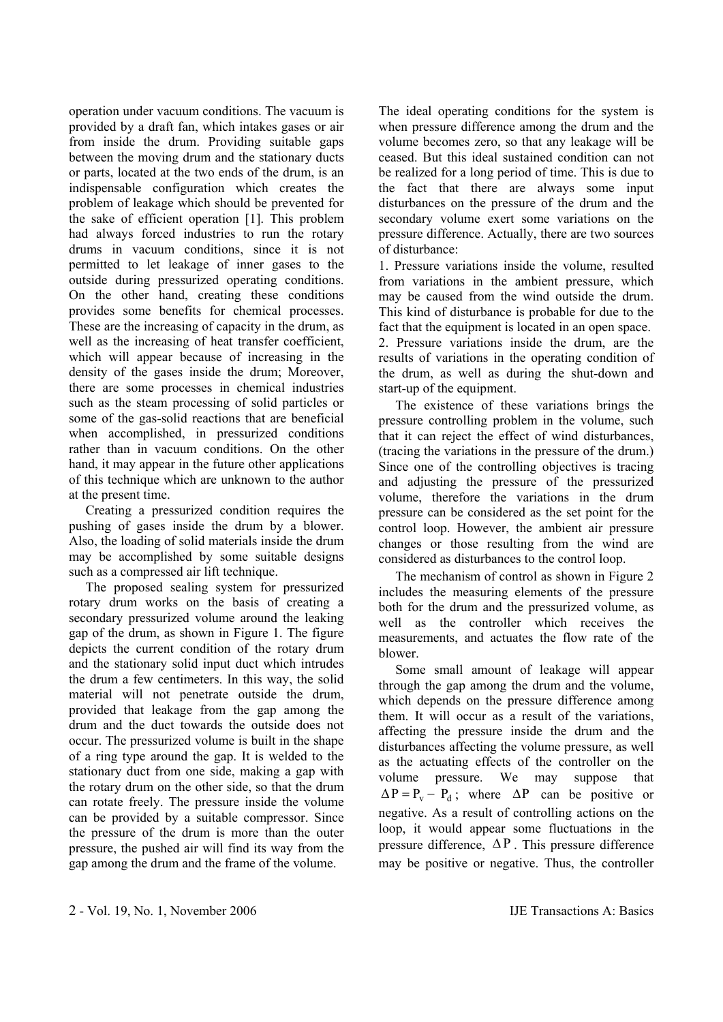operation under vacuum conditions. The vacuum is provided by a draft fan, which intakes gases or air from inside the drum. Providing suitable gaps between the moving drum and the stationary ducts or parts, located at the two ends of the drum, is an indispensable configuration which creates the problem of leakage which should be prevented for the sake of efficient operation [1]. This problem had always forced industries to run the rotary drums in vacuum conditions, since it is not permitted to let leakage of inner gases to the outside during pressurized operating conditions. On the other hand, creating these conditions provides some benefits for chemical processes. These are the increasing of capacity in the drum, as well as the increasing of heat transfer coefficient, which will appear because of increasing in the density of the gases inside the drum; Moreover, there are some processes in chemical industries such as the steam processing of solid particles or some of the gas-solid reactions that are beneficial when accomplished, in pressurized conditions rather than in vacuum conditions. On the other hand, it may appear in the future other applications of this technique which are unknown to the author at the present time.

 Creating a pressurized condition requires the pushing of gases inside the drum by a blower. Also, the loading of solid materials inside the drum may be accomplished by some suitable designs such as a compressed air lift technique.

 The proposed sealing system for pressurized rotary drum works on the basis of creating a secondary pressurized volume around the leaking gap of the drum, as shown in Figure 1. The figure depicts the current condition of the rotary drum and the stationary solid input duct which intrudes the drum a few centimeters. In this way, the solid material will not penetrate outside the drum, provided that leakage from the gap among the drum and the duct towards the outside does not occur. The pressurized volume is built in the shape of a ring type around the gap. It is welded to the stationary duct from one side, making a gap with the rotary drum on the other side, so that the drum can rotate freely. The pressure inside the volume can be provided by a suitable compressor. Since the pressure of the drum is more than the outer pressure, the pushed air will find its way from the gap among the drum and the frame of the volume.

The ideal operating conditions for the system is when pressure difference among the drum and the volume becomes zero, so that any leakage will be ceased. But this ideal sustained condition can not be realized for a long period of time. This is due to the fact that there are always some input disturbances on the pressure of the drum and the secondary volume exert some variations on the pressure difference. Actually, there are two sources of disturbance:

1. Pressure variations inside the volume, resulted from variations in the ambient pressure, which may be caused from the wind outside the drum. This kind of disturbance is probable for due to the fact that the equipment is located in an open space. 2. Pressure variations inside the drum, are the results of variations in the operating condition of the drum, as well as during the shut-down and start-up of the equipment.

 The existence of these variations brings the pressure controlling problem in the volume, such that it can reject the effect of wind disturbances, (tracing the variations in the pressure of the drum.) Since one of the controlling objectives is tracing and adjusting the pressure of the pressurized volume, therefore the variations in the drum pressure can be considered as the set point for the control loop. However, the ambient air pressure changes or those resulting from the wind are considered as disturbances to the control loop.

 The mechanism of control as shown in Figure 2 includes the measuring elements of the pressure both for the drum and the pressurized volume, as well as the controller which receives the measurements, and actuates the flow rate of the blower.

 Some small amount of leakage will appear through the gap among the drum and the volume, which depends on the pressure difference among them. It will occur as a result of the variations, affecting the pressure inside the drum and the disturbances affecting the volume pressure, as well as the actuating effects of the controller on the volume pressure. We may suppose that  $\Delta P = P_v - P_d$ ; where  $\Delta P$  can be positive or negative. As a result of controlling actions on the loop, it would appear some fluctuations in the pressure difference,  $\Delta P$ . This pressure difference may be positive or negative. Thus, the controller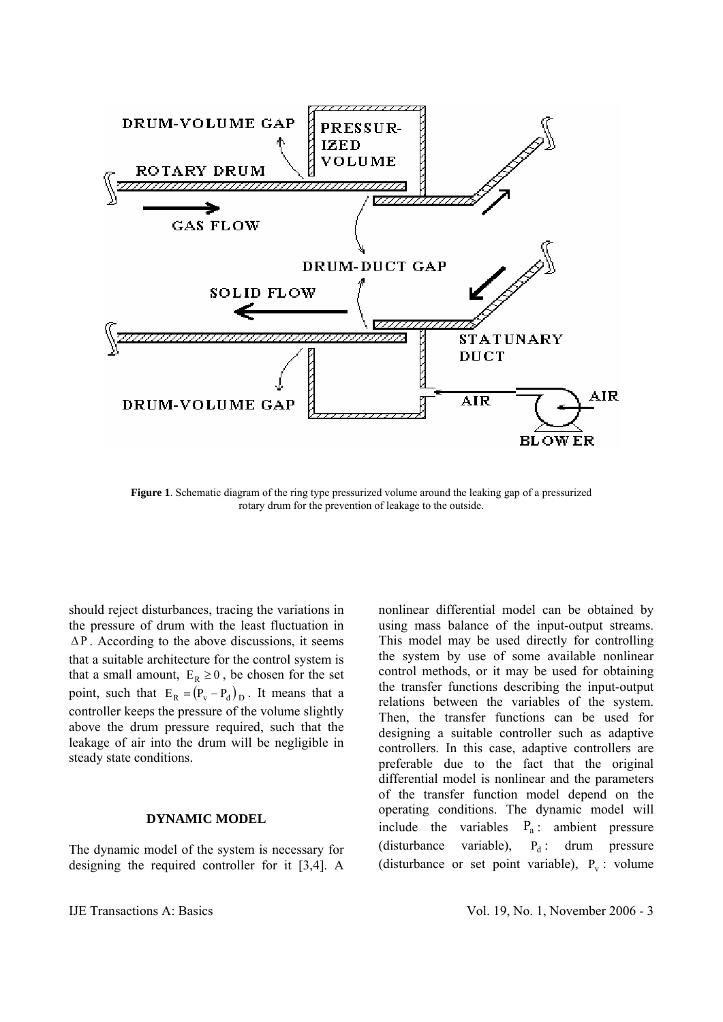

**Figure 1**. Schematic diagram of the ring type pressurized volume around the leaking gap of a pressurized rotary drum for the prevention of leakage to the outside.

should reject disturbances, tracing the variations in the pressure of drum with the least fluctuation in  $\Delta P$ . According to the above discussions, it seems that a suitable architecture for the control system is that a small amount,  $E_R \ge 0$ , be chosen for the set point, such that  $E_R = (P_v - P_d)_D$ . It means that a controller keeps the pressure of the volume slightly above the drum pressure required, such that the leakage of air into the drum will be negligible in steady state conditions.

### **DYNAMIC MODEL**

The dynamic model of the system is necessary for designing the required controller for it [3,4]. A

nonlinear differential model can be obtained by using mass balance of the input-output streams. This model may be used directly for controlling the system by use of some available nonlinear control methods, or it may be used for obtaining the transfer functions describing the input-output relations between the variables of the system. Then, the transfer functions can be used for designing a suitable controller such as adaptive controllers. In this case, adaptive controllers are preferable due to the fact that the original differential model is nonlinear and the parameters of the transfer function model depend on the operating conditions. The dynamic model will include the variables  $P_a$ : ambient pressure (disturbance variable),  $P_d$  : drum pressure (disturbance or set point variable),  $P_v$  : volume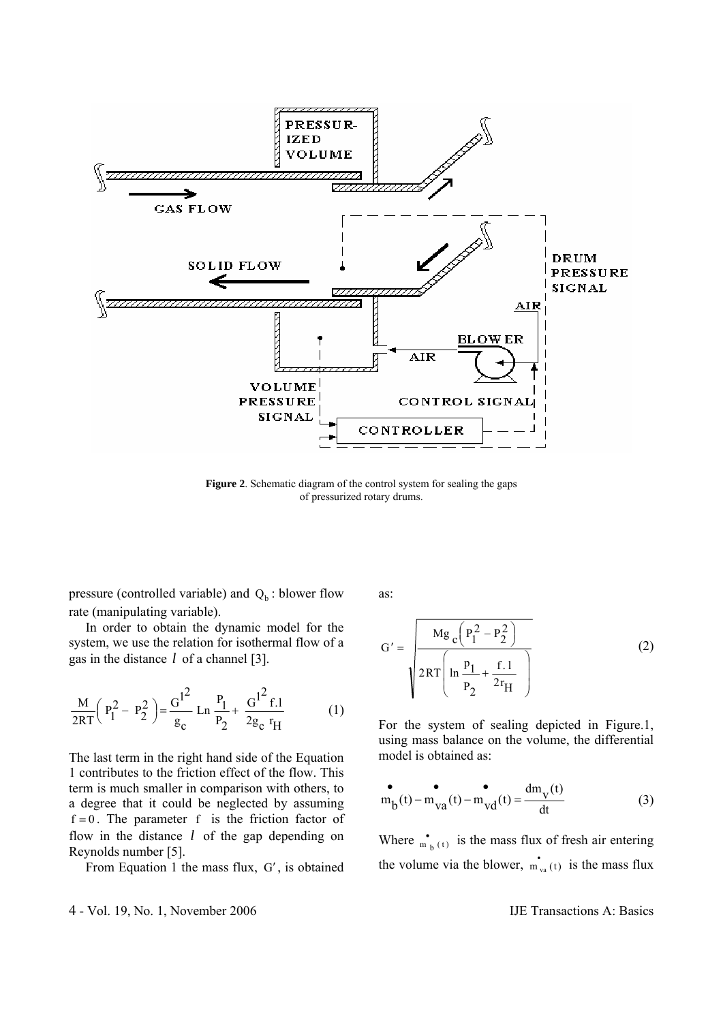

**Figure 2**. Schematic diagram of the control system for sealing the gaps of pressurized rotary drums.

pressure (controlled variable) and  $Q_b$ : blower flow rate (manipulating variable).

 In order to obtain the dynamic model for the system, we use the relation for isothermal flow of a gas in the distance *l* of a channel [3].

$$
\frac{M}{2RT} \left( P_1^2 - P_2^2 \right) = \frac{G^{12}}{g_c} \operatorname{Ln} \frac{P_1}{P_2} + \frac{G^{12} f.1}{2g_c r_H} \tag{1}
$$

The last term in the right hand side of the Equation 1 contributes to the friction effect of the flow. This term is much smaller in comparison with others, to a degree that it could be neglected by assuming  $f = 0$ . The parameter f is the friction factor of flow in the distance *l* of the gap depending on Reynolds number [5].

From Equation 1 the mass flux, G′ , is obtained

as:

$$
G' = \frac{Mg_c(P_1^2 - P_2^2)}{2RT\left(\ln \frac{p_1}{p_2} + \frac{f.1}{2r_H}\right)}
$$
(2)

For the system of sealing depicted in Figure.1, using mass balance on the volume, the differential model is obtained as:

$$
m_{b}(t) - m_{va}(t) - m_{vd}(t) = \frac{dm_{v}(t)}{dt}
$$
 (3)

Where  $\int_{t_0}^{\infty}$  is the mass flux of fresh air entering the volume via the blower,  $\mathbf{m}_{\text{va}}(t)$  is the mass flux

4 - Vol. 19, No. 1, November 2006 IJE Transactions A: Basics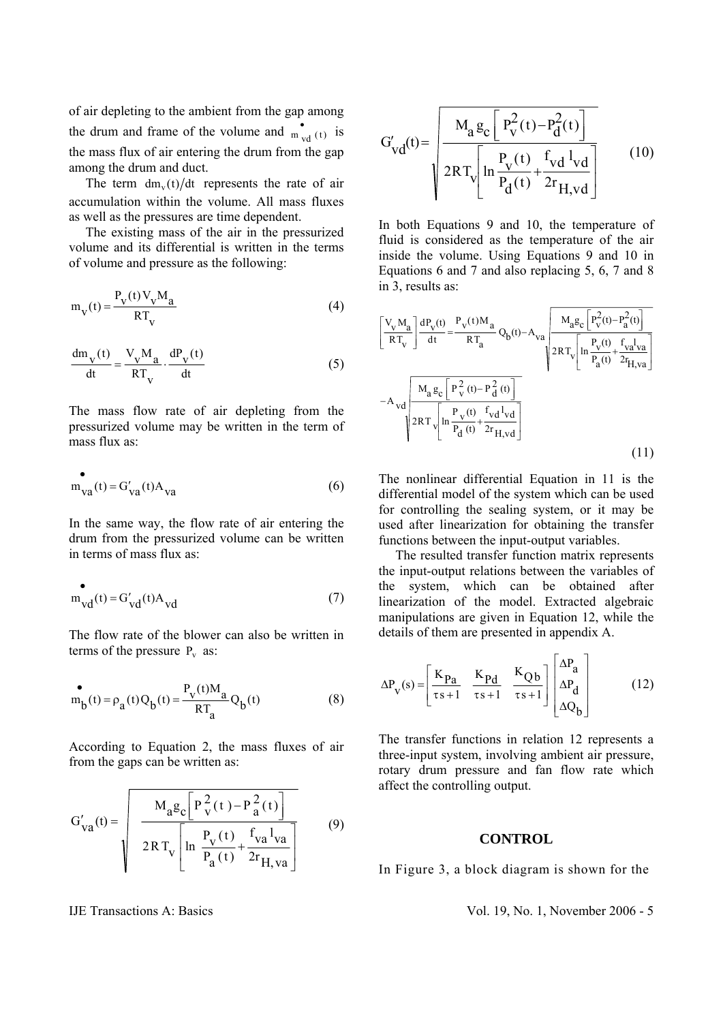of air depleting to the ambient from the gap among the drum and frame of the volume and  $\int_{\text{d}}^{\bullet}$  (t) is the mass flux of air entering the drum from the gap among the drum and duct.

The term  $dm<sub>v</sub>(t)/dt$  represents the rate of air accumulation within the volume. All mass fluxes as well as the pressures are time dependent.

 The existing mass of the air in the pressurized volume and its differential is written in the terms of volume and pressure as the following:

$$
m_V(t) = \frac{P_V(t)V_V M_a}{RT_V}
$$
 (4)

$$
\frac{dm_{V}(t)}{dt} = \frac{V_{V}M_{a}}{RT_{V}} \cdot \frac{dP_{V}(t)}{dt}
$$
 (5)

The mass flow rate of air depleting from the pressurized volume may be written in the term of mass flux as:

$$
m_{\text{va}}(t) = G'_{\text{va}}(t) A_{\text{va}}
$$
 (6)

In the same way, the flow rate of air entering the drum from the pressurized volume can be written in terms of mass flux as:

$$
m_{vd}^{(t)} = G'_{vd}(t) A_{vd}
$$
 (7)

The flow rate of the blower can also be written in terms of the pressure  $P_v$  as:

$$
\mathbf{m}_b(t) = \rho_a(t) Q_b(t) = \frac{P_v(t) M_a}{RT_a} Q_b(t)
$$
 (8)

According to Equation 2, the mass fluxes of air from the gaps can be written as:

$$
G'_{va}(t) = \sqrt{\frac{M_a g_c \left[ P_v^2(t) - P_a^2(t) \right]}{2RT_v \left[ \ln \frac{P_v(t)}{P_a(t)} + \frac{f_{va} l_{va}}{2r_{H, va}} \right]}}
$$
(9)

$$
G'_{vd}(t) = \sqrt{\frac{M_a g_c \left[ P_V^2(t) - P_d^2(t) \right]}{2RT_v \left[ \ln \frac{P_V(t)}{P_d(t)} + \frac{f_V d^2 V_d}{2r_{H,vd}} \right]}}
$$
(10)

In both Equations 9 and 10, the temperature of fluid is considered as the temperature of the air inside the volume. Using Equations 9 and 10 in Equations 6 and 7 and also replacing 5, 6, 7 and 8 in 3, results as:

$$
\begin{bmatrix} \frac{V_{v} M_{a}}{RT_{v}} \frac{dP_{v}(t)}{dt} = \frac{P_{v}(t) M_{a}}{RT_{a}} Q_{b}(t) - A_{va} \frac{M_{a} g_{c} \left[ P_{v}^{2}(t) - P_{a}^{2}(t) \right]}{2RT_{v} \left[ \ln \frac{P_{v}(t)}{P_{a}(t)} + \frac{f_{va} I_{va}}{2F_{H, va}} \right]} \right]
$$
  
- A<sub>vd</sub> 
$$
\frac{M_{a} g_{c} \left[ P_{v}^{2}(t) - P_{d}^{2}(t) \right]}{2RT_{v} \left[ \ln \frac{P_{v}(t)}{P_{d}(t)} + \frac{f_{vd} I_{vd}}{2F_{H,vd}} \right]}
$$
(11)

The nonlinear differential Equation in 11 is the differential model of the system which can be used for controlling the sealing system, or it may be used after linearization for obtaining the transfer functions between the input-output variables.

 The resulted transfer function matrix represents the input-output relations between the variables of the system, which can be obtained after linearization of the model. Extracted algebraic manipulations are given in Equation 12, while the details of them are presented in appendix A.

$$
\Delta P_V(s) = \begin{bmatrix} \frac{K_{Pa}}{\tau s + 1} & \frac{K_{Pd}}{\tau s + 1} & \frac{K_{Qb}}{\tau s + 1} \end{bmatrix} \begin{bmatrix} \Delta P_a \\ \Delta P_d \\ \Delta Q_b \end{bmatrix}
$$
(12)

The transfer functions in relation 12 represents a three-input system, involving ambient air pressure, rotary drum pressure and fan flow rate which affect the controlling output.

### **CONTROL**

In Figure 3, a block diagram is shown for the

IJE Transactions A: Basics Vol. 19, No. 1, November 2006 - 5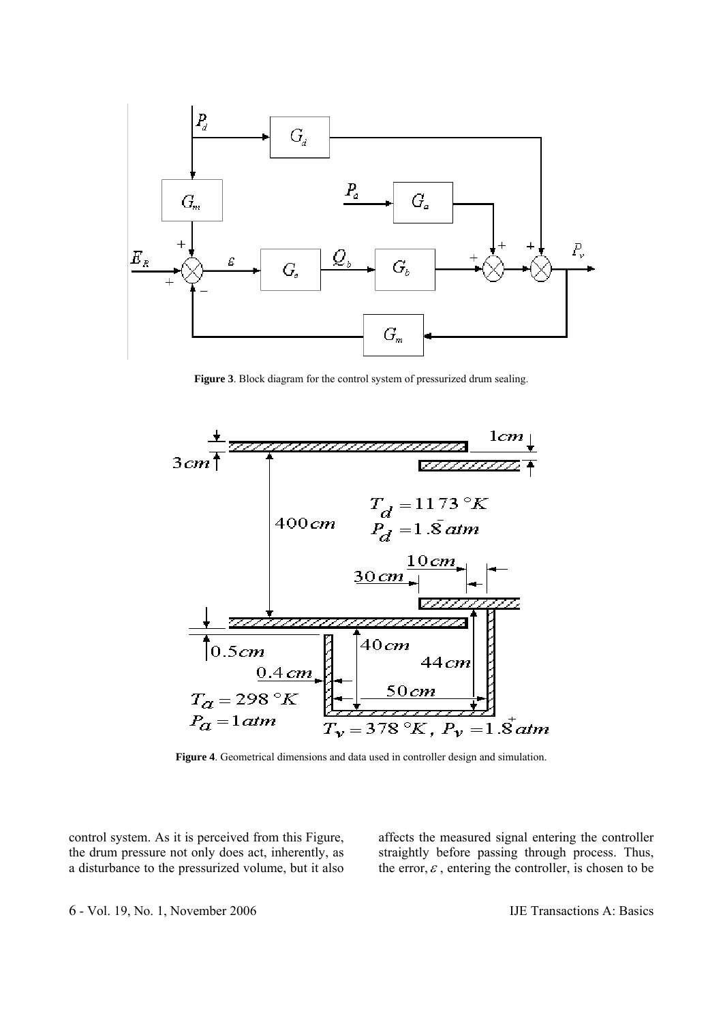

**Figure 3**. Block diagram for the control system of pressurized drum sealing.



**Figure 4**. Geometrical dimensions and data used in controller design and simulation.

control system. As it is perceived from this Figure, the drum pressure not only does act, inherently, as a disturbance to the pressurized volume, but it also affects the measured signal entering the controller straightly before passing through process. Thus, the error,  $\varepsilon$ , entering the controller, is chosen to be

6 - Vol. 19, No. 1, November 2006 IJE Transactions A: Basics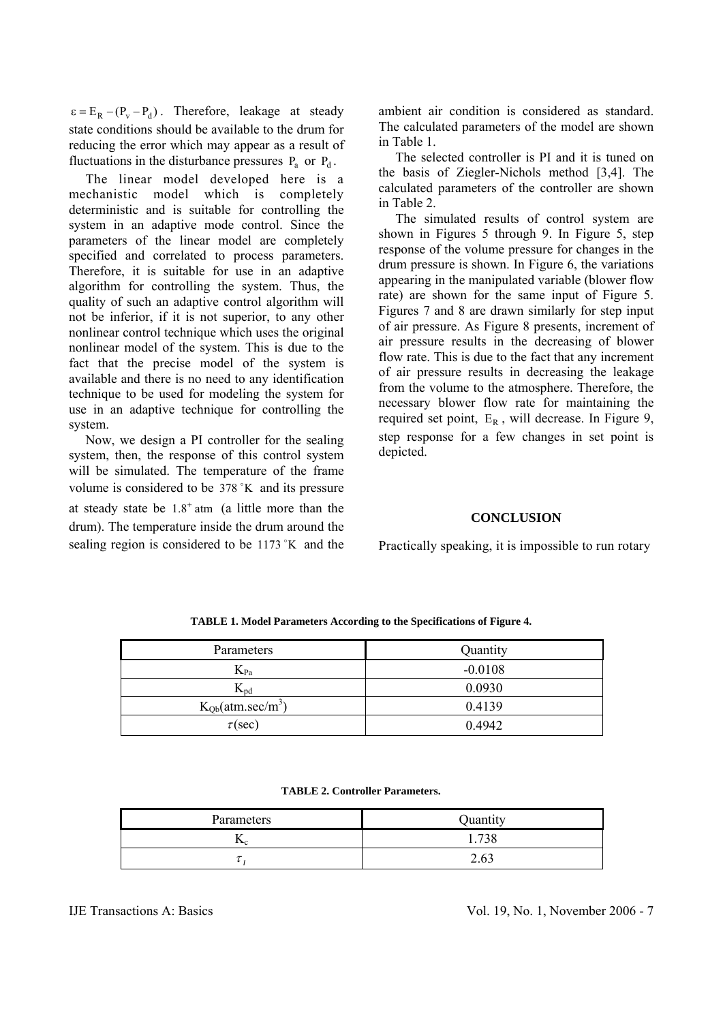$\epsilon = E_R - (P_v - P_d)$ . Therefore, leakage at steady state conditions should be available to the drum for reducing the error which may appear as a result of fluctuations in the disturbance pressures  $P_a$  or  $P_d$ .

The linear model developed here is a mechanistic model which is completely deterministic and is suitable for controlling the system in an adaptive mode control. Since the parameters of the linear model are completely specified and correlated to process parameters. Therefore, it is suitable for use in an adaptive algorithm for controlling the system. Thus, the quality of such an adaptive control algorithm will not be inferior, if it is not superior, to any other nonlinear control technique which uses the original nonlinear model of the system. This is due to the fact that the precise model of the system is available and there is no need to any identification technique to be used for modeling the system for use in an adaptive technique for controlling the system.

 Now, we design a PI controller for the sealing system, then, the response of this control system will be simulated. The temperature of the frame volume is considered to be  $378 \degree K$  and its pressure at steady state be  $1.8<sup>+</sup>$  atm (a little more than the drum). The temperature inside the drum around the sealing region is considered to be  $1173$   $\textdegree K$  and the ambient air condition is considered as standard. The calculated parameters of the model are shown in Table 1.

 The selected controller is PI and it is tuned on the basis of Ziegler-Nichols method [3,4]. The calculated parameters of the controller are shown in Table 2.

The simulated results of control system are shown in Figures 5 through 9. In Figure 5, step response of the volume pressure for changes in the drum pressure is shown. In Figure 6, the variations appearing in the manipulated variable (blower flow rate) are shown for the same input of Figure 5. Figures 7 and 8 are drawn similarly for step input of air pressure. As Figure 8 presents, increment of air pressure results in the decreasing of blower flow rate. This is due to the fact that any increment of air pressure results in decreasing the leakage from the volume to the atmosphere. Therefore, the necessary blower flow rate for maintaining the required set point,  $E_R$ , will decrease. In Figure 9, step response for a few changes in set point is depicted.

### **CONCLUSION**

Practically speaking, it is impossible to run rotary

| Parameters            | Quantity  |
|-----------------------|-----------|
| $K_{Pa}$              | $-0.0108$ |
| $K_{\text{pd}}$       | 0.0930    |
| $K_{Qb}(atm/sec/m^3)$ | 0.4139    |
| $\tau$ (sec)          | 0.4942    |

**TABLE 1. Model Parameters According to the Specifications of Figure 4.** 

**TABLE 2. Controller Parameters.** 

| Parameters | Quantity       |
|------------|----------------|
| .se        | 720<br>28<br>. |
|            | 2.63           |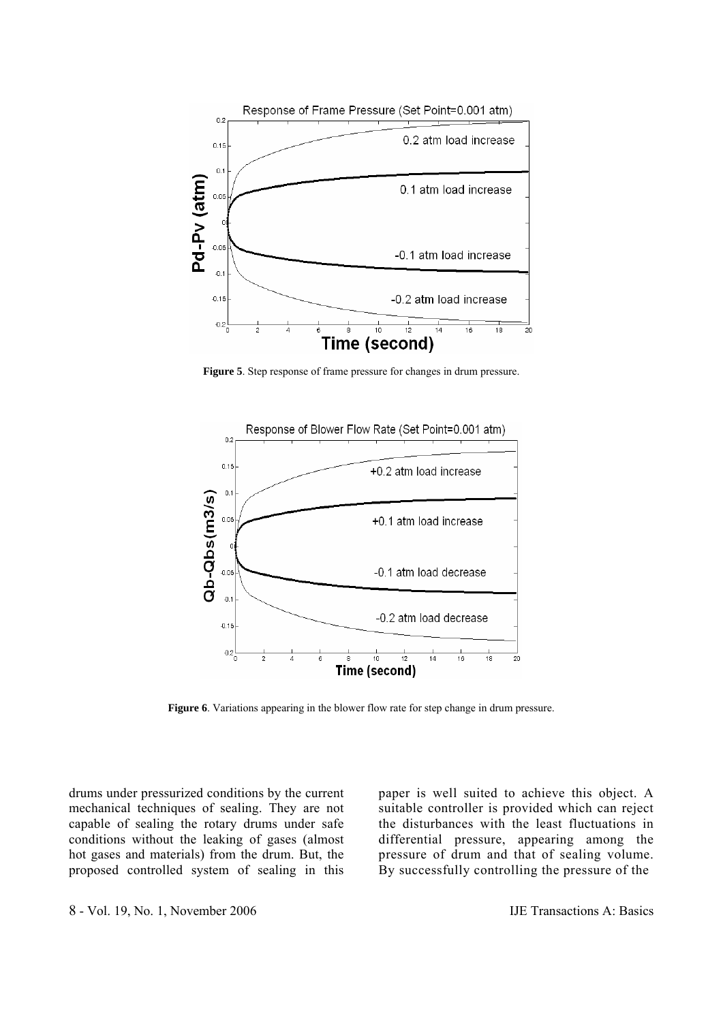

**Figure 5**. Step response of frame pressure for changes in drum pressure.



**Figure 6**. Variations appearing in the blower flow rate for step change in drum pressure.

drums under pressurized conditions by the current mechanical techniques of sealing. They are not capable of sealing the rotary drums under safe conditions without the leaking of gases (almost hot gases and materials) from the drum. But, the proposed controlled system of sealing in this paper is well suited to achieve this object. A suitable controller is provided which can reject the disturbances with the least fluctuations in differential pressure, appearing among the pressure of drum and that of sealing volume. By successfully controlling the pressure of the

8 - Vol. 19, No. 1, November 2006 IJE Transactions A: Basics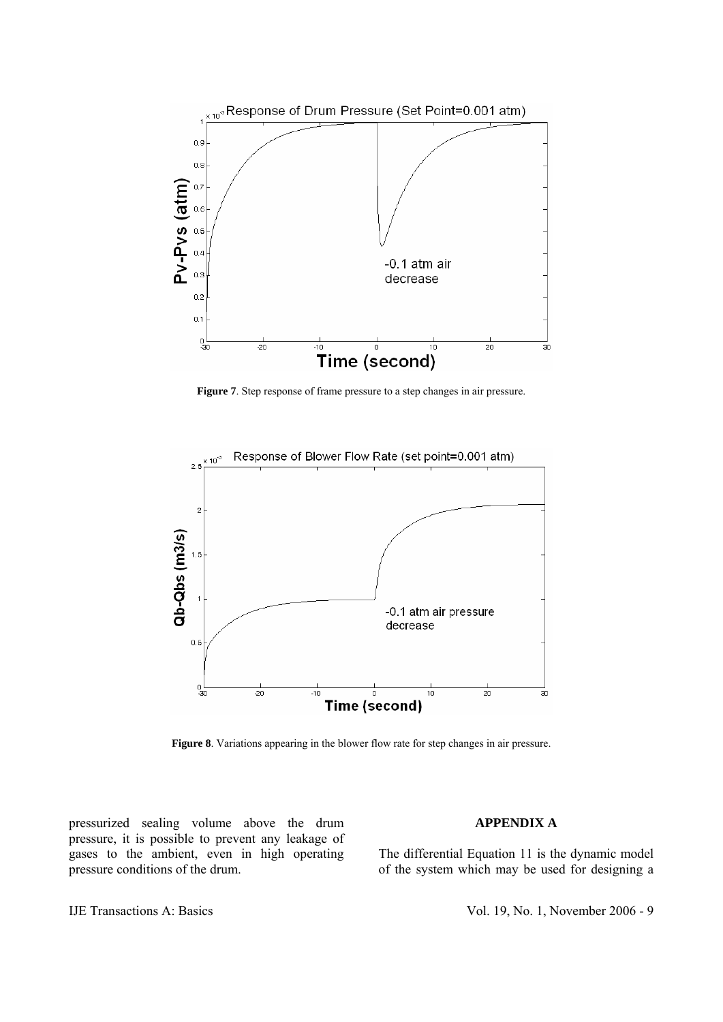

Figure 7. Step response of frame pressure to a step changes in air pressure.



**Figure 8**. Variations appearing in the blower flow rate for step changes in air pressure.

pressurized sealing volume above the drum pressure, it is possible to prevent any leakage of gases to the ambient, even in high operating pressure conditions of the drum.

### **APPENDIX A**

The differential Equation 11 is the dynamic model of the system which may be used for designing a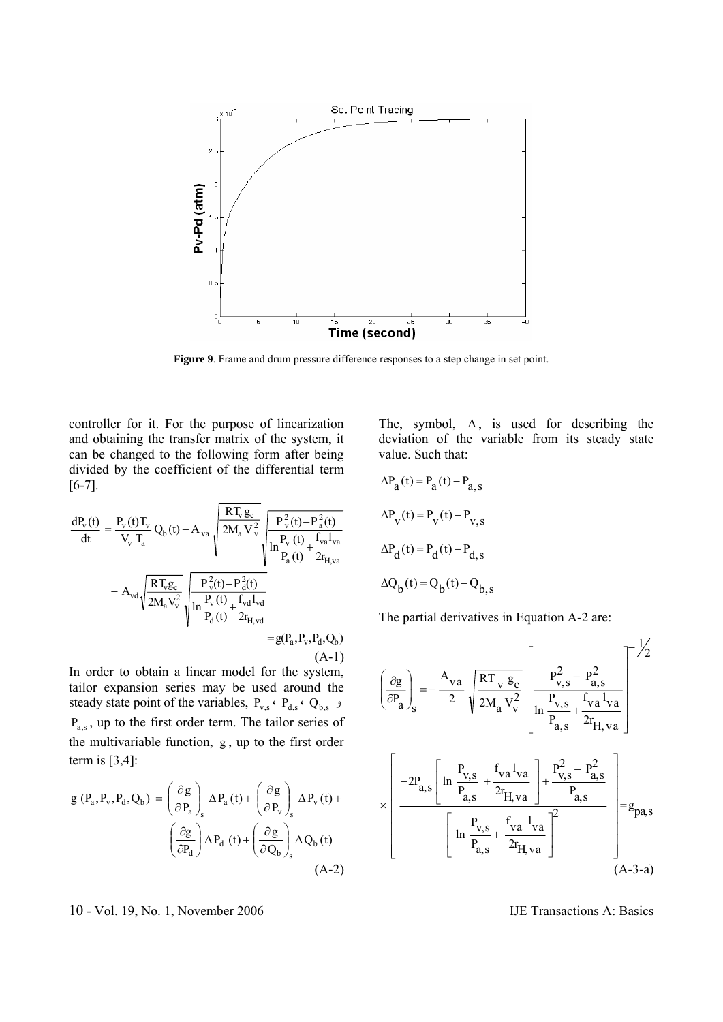

**Figure 9**. Frame and drum pressure difference responses to a step change in set point.

controller for it. For the purpose of linearization and obtaining the transfer matrix of the system, it can be changed to the following form after being divided by the coefficient of the differential term [6-7].

$$
\begin{aligned} \frac{dP_v(t)}{dt} &= \frac{P_v(t)T_v}{V_v T_a} Q_b(t) - A_{va} \sqrt{\frac{RT_v g_c}{2M_a V_v^2}} \sqrt{\frac{P_v^2(t) - P_a^2(t)}{P_a(t) + \frac{f_{va}l_{va}}{2r_{H,va}}}} \\ &- A_{vd} \sqrt{\frac{RT_v g_c}{2M_a V_v^2}} \sqrt{\frac{P_v^2(t) - P_d^2(t)}{P_a(t) + \frac{f_{vd}l_{vd}}{2r_{H,vd}}}} \\ &= g(P_a, P_v, P_d, Q_b) \\ &\qquad \qquad (A-1) \end{aligned}
$$

In order to obtain a linear model for the system, tailor expansion series may be used around the steady state point of the variables,  $P_{v,s}$   $\cdot$   $P_{d,s}$   $\cdot$   $Q_{b,s}$  $P_{\text{as}}$ , up to the first order term. The tailor series of the multivariable function, g , up to the first order term is [3,4]:

$$
g(P_a, P_v, P_d, Q_b) = \left(\frac{\partial g}{\partial P_a}\right)_s \Delta P_a(t) + \left(\frac{\partial g}{\partial P_v}\right)_s \Delta P_v(t) + \left(\frac{\partial g}{\partial P_d}\right) \Delta P_d(t) + \left(\frac{\partial g}{\partial Q_b}\right)_s \Delta Q_b(t)
$$
\n(A-2)

10 - Vol. 19, No. 1, November 2006 IJE Transactions A: Basics

The, symbol,  $\Delta$ , is used for describing the deviation of the variable from its steady state value. Such that:

$$
\Delta P_a(t) = P_a(t) - P_{a,s}
$$
  
\n
$$
\Delta P_v(t) = P_v(t) - P_{v,s}
$$
  
\n
$$
\Delta P_d(t) = P_d(t) - P_{d,s}
$$
  
\n
$$
\Delta Q_b(t) = Q_b(t) - Q_{b,s}
$$

The partial derivatives in Equation A-2 are:

$$
\left(\frac{\partial g}{\partial P_a}\right)_s = -\frac{A_{va}}{2} \sqrt{\frac{RT_v g_c}{2M_a V_v^2}} \left[\frac{P_{v,s}^2 - P_{a,s}^2}{\ln \frac{P_{v,s}}{P_{a,s}} + \frac{f_{va} l_{va}}{2r_{H,va}}}\right]^{-\frac{1}{2}}
$$

$$
\times \left[\frac{-2P_{a,s}\left[\ln \frac{P_{v,s}}{P_{a,s}} + \frac{f_{va} l_{va}}{2r_{H,va}}\right] + \frac{P_{v,s}^2 - P_{a,s}^2}{P_{a,s}}}{\left[\ln \frac{P_{v,s}}{P_{a,s}} + \frac{f_{va} l_{va}}{2r_{H,va}}\right]^2}\right] = g_{pa,s}
$$
(A-3-a)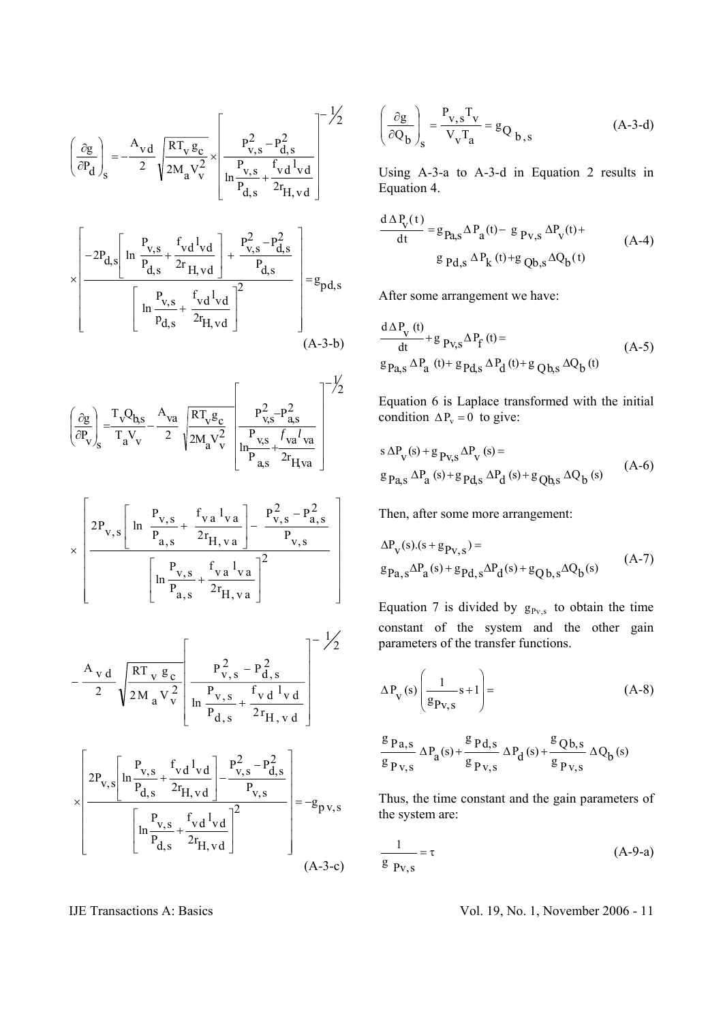$$
\left(\frac{\partial g}{\partial P_d}\right)_s = -\frac{A_{vd}}{2} \sqrt{\frac{RT_v g_c}{2M_a V_v^2}} \times \left[\frac{P_{v,s}^2 - P_{d,s}^2}{\ln \frac{P_{v,s}}{P_{d,s}} + \frac{f_{vd} l_{vd}}{2r_{H,vd}}}\right]^{-\frac{1}{2}}
$$

$$
\times \left[ \frac{-2P_{d,s} \left[ \ln \frac{P_{v,s}}{P_{d,s}} + \frac{f_{vd} I_{vd}}{2r_{H,vd}} \right] + \frac{P_{v,s}^2 - P_{d,s}^2}{P_{d,s}}}{\left[ \ln \frac{P_{v,s}}{P_{d,s}} + \frac{f_{vd} I_{vd}}{2r_{H,vd}} \right]^2} \right] = g_{pd,s}
$$
\n(A-3-b)

$$
\left(\frac{\partial g}{\partial P_v}\right)_s = \frac{T_v Q_{b,s}}{T_a V_v} - \frac{A_{va}}{2} \sqrt{\frac{RT_v g_c}{2M_a V_v^2}} \left[\frac{P_{v,s}^2 - P_{a,s}^2}{\frac{P_{v,s}}{P_{a,s}} + \frac{f_{va} I_{va}}{2r_{Hva}}}\right]^{-\frac{1}{2}}
$$

$$
\times \left[ 2P_{v,s} \left[ \ln \frac{P_{v,s}}{P_{a,s}} + \frac{f_{v,a} l_{va}}{2r_{H,va}} \right] - \frac{P_{v,s}^2 - P_{a,s}^2}{P_{v,s}} \right]
$$

$$
\left[ \ln \frac{P_{v,s}}{P_{a,s}} + \frac{f_{v,a} l_{va}}{2r_{H,va}} \right]^2
$$

$$
-\frac{A_{v d}}{2} \sqrt{\frac{RT_{v g_{c}}}{2M_{a}V_{v}^{2}}}\left[\frac{P_{v, s}^{2} - P_{d, s}^{2}}{\ln \frac{P_{v, s}}{P_{d, s}} + \frac{f_{v d} l_{v d}}{2r_{H, v d}}}\right]^{-\frac{1}{2}}
$$

$$
\times \left[ 2P_{v,s} \left[ \ln \frac{P_{v,s}}{P_{d,s}} + \frac{f_{vd} l_{vd}}{2r_{H,vd}} \right] - \frac{P_{v,s}^2 - P_{d,s}^2}{P_{v,s}} \right] = -g_{pv,s}
$$

$$
\left[ \ln \frac{P_{v,s}}{P_{d,s}} + \frac{f_{vd} l_{vd}}{2r_{H,vd}} \right]^2 = -g_{pv,s}
$$
(A-3-c)

$$
\left(\frac{\partial g}{\partial Q_b}\right)_s = \frac{P_{v,s}T_v}{V_vT_a} = g_{Q_{b,s}}
$$
 (A-3-d)

Using A-3-a to A-3-d in Equation 2 results in Equation 4.

$$
\frac{d \Delta P_V(t)}{dt} = g_{Pa,S} \Delta P_a(t) - g_{Pv,S} \Delta P_V(t) + g_{Pd,S} \Delta P_k(t) + g_{Qb,S} \Delta Q_b(t)
$$
\n(A-4)

After some arrangement we have:

$$
\frac{d \Delta P_{V} (t)}{dt} + g_{PV,S} \Delta P_{f} (t) =
$$
\n
$$
g_{Pa,S} \Delta P_{a} (t) + g_{Pd,S} \Delta P_{d} (t) + g_{Qb,S} \Delta Q_{b} (t)
$$
\n(A-5)

Equation 6 is Laplace transformed with the initial condition  $\Delta P_v = 0$  to give:

$$
s \Delta P_V(s) + g_{PV,S} \Delta P_V(s) =
$$
  
\n
$$
g_{Pq,S} \Delta P_a(s) + g_{Pq,S} \Delta P_d(s) + g_{Qb,S} \Delta Q_b(s)
$$
 (A-6)

Then, after some more arrangement:

$$
\Delta P_V(s)(s+g_{PV,s}) =
$$
  
\n
$$
g_{Pa,s} \Delta P_a(s) + g_{Pd,s} \Delta P_d(s) + g_{Qb,s} \Delta Q_b(s)
$$
\n(A-7)

Equation 7 is divided by  $g_{Pv,s}$  to obtain the time constant of the system and the other gain parameters of the transfer functions.

$$
\Delta P_V(s) \left( \frac{1}{g_{PV,S}} s + 1 \right) = \tag{A-8}
$$

$$
\frac{g_{p_{a,s}}}{g_{p_{v,s}}}\Delta P_a(s) + \frac{g_{p_{d,s}}}{g_{p_{v,s}}}\Delta P_d(s) + \frac{g_{Qb,s}}{g_{p_{v,s}}}\Delta Q_b(s)
$$

Thus, the time constant and the gain parameters of the system are:

$$
\frac{1}{g} = \tau \tag{A-9-a}
$$

## IJE Transactions A: Basics Vol. 19, No. 1, November 2006 - 11